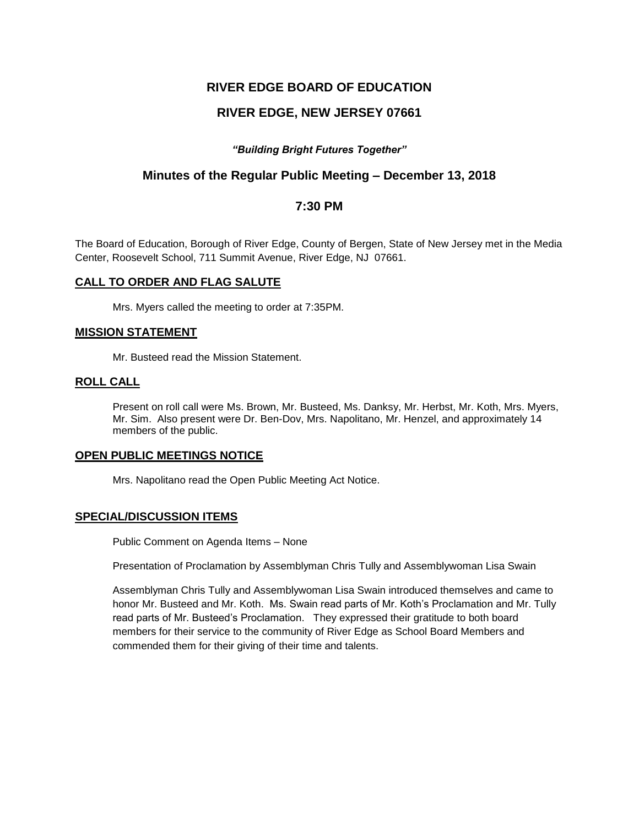# **RIVER EDGE BOARD OF EDUCATION**

# **RIVER EDGE, NEW JERSEY 07661**

# *"Building Bright Futures Together"*

# **Minutes of the Regular Public Meeting – December 13, 2018**

# **7:30 PM**

The Board of Education, Borough of River Edge, County of Bergen, State of New Jersey met in the Media Center, Roosevelt School, 711 Summit Avenue, River Edge, NJ 07661.

## **CALL TO ORDER AND FLAG SALUTE**

Mrs. Myers called the meeting to order at 7:35PM.

## **MISSION STATEMENT**

Mr. Busteed read the Mission Statement.

## **ROLL CALL**

Present on roll call were Ms. Brown, Mr. Busteed, Ms. Danksy, Mr. Herbst, Mr. Koth, Mrs. Myers, Mr. Sim. Also present were Dr. Ben-Dov, Mrs. Napolitano, Mr. Henzel, and approximately 14 members of the public.

## **OPEN PUBLIC MEETINGS NOTICE**

Mrs. Napolitano read the Open Public Meeting Act Notice.

### **SPECIAL/DISCUSSION ITEMS**

Public Comment on Agenda Items – None

Presentation of Proclamation by Assemblyman Chris Tully and Assemblywoman Lisa Swain

Assemblyman Chris Tully and Assemblywoman Lisa Swain introduced themselves and came to honor Mr. Busteed and Mr. Koth. Ms. Swain read parts of Mr. Koth's Proclamation and Mr. Tully read parts of Mr. Busteed's Proclamation. They expressed their gratitude to both board members for their service to the community of River Edge as School Board Members and commended them for their giving of their time and talents.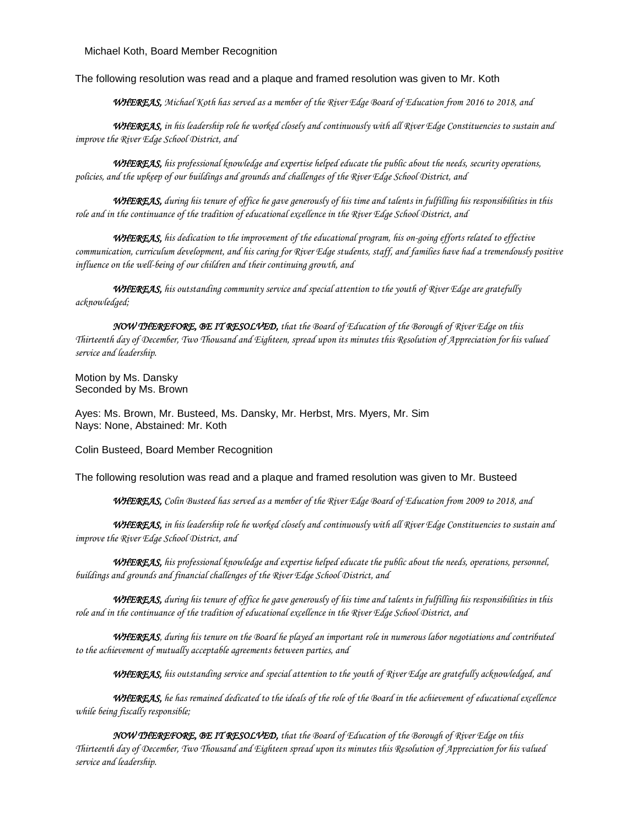Michael Koth, Board Member Recognition

The following resolution was read and a plaque and framed resolution was given to Mr. Koth

 *WHEREAS, Michael Koth has served as a member of the River Edge Board of Education from 2016 to 2018, and* 

*WHEREAS, in his leadership role he worked closely and continuously with all River Edge Constituencies to sustain and improve the River Edge School District, and*

*WHEREAS, his professional knowledge and expertise helped educate the public about the needs, security operations, policies, and the upkeep of our buildings and grounds and challenges of the River Edge School District, and*

*WHEREAS, during his tenure of office he gave generously of his time and talents in fulfilling his responsibilities in this role and in the continuance of the tradition of educational excellence in the River Edge School District, and*

*WHEREAS, his dedication to the improvement of the educational program, his on-going efforts related to effective communication, curriculum development, and his caring for River Edge students, staff, and families have had a tremendously positive influence on the well-being of our children and their continuing growth, and*

*WHEREAS, his outstanding community service and special attention to the youth of River Edge are gratefully acknowledged;*

*NOW THEREFORE, BE IT RESOLVED, that the Board of Education of the Borough of River Edge on this Thirteenth day of December, Two Thousand and Eighteen, spread upon its minutes this Resolution of Appreciation for his valued service and leadership.*

Motion by Ms. Dansky Seconded by Ms. Brown

Ayes: Ms. Brown, Mr. Busteed, Ms. Dansky, Mr. Herbst, Mrs. Myers, Mr. Sim Nays: None, Abstained: Mr. Koth

Colin Busteed, Board Member Recognition

The following resolution was read and a plaque and framed resolution was given to Mr. Busteed

 *WHEREAS, Colin Busteed has served as a member of the River Edge Board of Education from 2009 to 2018, and* 

 *WHEREAS, in his leadership role he worked closely and continuously with all River Edge Constituencies to sustain and improve the River Edge School District, and*

*WHEREAS, his professional knowledge and expertise helped educate the public about the needs, operations, personnel, buildings and grounds and financial challenges of the River Edge School District, and* 

*WHEREAS, during his tenure of office he gave generously of his time and talents in fulfilling his responsibilities in this role and in the continuance of the tradition of educational excellence in the River Edge School District, and*

*WHEREAS, during his tenure on the Board he played an important role in numerous labor negotiations and contributed to the achievement of mutually acceptable agreements between parties, and*

*WHEREAS, his outstanding service and special attention to the youth of River Edge are gratefully acknowledged, and*

*WHEREAS, he has remained dedicated to the ideals of the role of the Board in the achievement of educational excellence while being fiscally responsible;*

*NOW THEREFORE, BE IT RESOLVED, that the Board of Education of the Borough of River Edge on this Thirteenth day of December, Two Thousand and Eighteen spread upon its minutes this Resolution of Appreciation for his valued service and leadership.*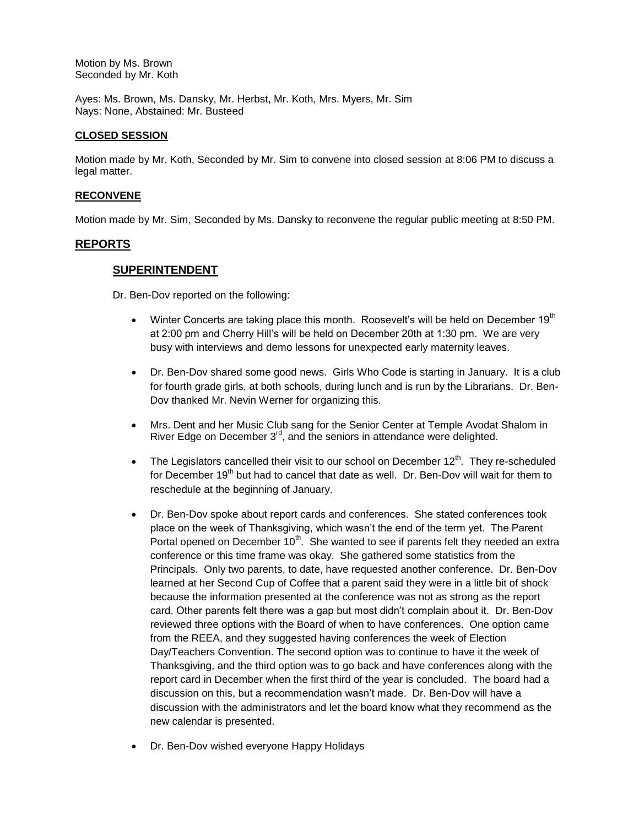Motion by Ms. Brown Seconded by Mr. Koth

Ayes: Ms. Brown, Ms. Dansky, Mr. Herbst, Mr. Koth, Mrs. Myers, Mr. Sim Nays: None, Abstained: Mr. Busteed

#### **CLOSED SESSION**

Motion made by Mr. Koth, Seconded by Mr. Sim to convene into closed session at 8:06 PM to discuss a legal matter.

#### **RECONVENE**

Motion made by Mr. Sim, Seconded by Ms. Dansky to reconvene the regular public meeting at 8:50 PM.

## **REPORTS**

## **SUPERINTENDENT**

Dr. Ben-Dov reported on the following:

- **Winter Concerts are taking place this month. Roosevelt's will be held on December 19** $^{\text{th}}$ at 2:00 pm and Cherry Hill's will be held on December 20th at 1:30 pm. We are very busy with interviews and demo lessons for unexpected early maternity leaves.
- Dr. Ben-Dov shared some good news. Girls Who Code is starting in January. It is a club for fourth grade girls, at both schools, during lunch and is run by the Librarians. Dr. Ben-Dov thanked Mr. Nevin Werner for organizing this.
- Mrs. Dent and her Music Club sang for the Senior Center at Temple Avodat Shalom in River Edge on December  $3<sup>rd</sup>$ , and the seniors in attendance were delighted.
- The Legislators cancelled their visit to our school on December  $12<sup>th</sup>$ . They re-scheduled for December 19<sup>th</sup> but had to cancel that date as well. Dr. Ben-Dov will wait for them to reschedule at the beginning of January.
- Dr. Ben-Dov spoke about report cards and conferences. She stated conferences took place on the week of Thanksgiving, which wasn't the end of the term yet. The Parent Portal opened on December  $10<sup>th</sup>$ . She wanted to see if parents felt they needed an extra conference or this time frame was okay. She gathered some statistics from the Principals. Only two parents, to date, have requested another conference. Dr. Ben-Dov learned at her Second Cup of Coffee that a parent said they were in a little bit of shock because the information presented at the conference was not as strong as the report card. Other parents felt there was a gap but most didn't complain about it. Dr. Ben-Dov reviewed three options with the Board of when to have conferences. One option came from the REEA, and they suggested having conferences the week of Election Day/Teachers Convention. The second option was to continue to have it the week of Thanksgiving, and the third option was to go back and have conferences along with the report card in December when the first third of the year is concluded. The board had a discussion on this, but a recommendation wasn't made. Dr. Ben-Dov will have a discussion with the administrators and let the board know what they recommend as the new calendar is presented.
- Dr. Ben-Dov wished everyone Happy Holidays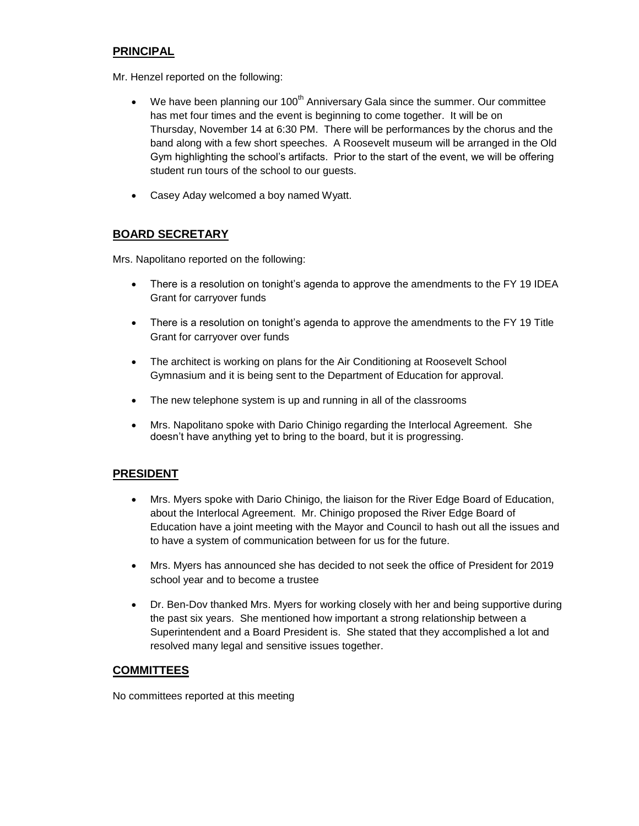# **PRINCIPAL**

Mr. Henzel reported on the following:

- We have been planning our 100<sup>th</sup> Anniversary Gala since the summer. Our committee has met four times and the event is beginning to come together. It will be on Thursday, November 14 at 6:30 PM. There will be performances by the chorus and the band along with a few short speeches. A Roosevelt museum will be arranged in the Old Gym highlighting the school's artifacts. Prior to the start of the event, we will be offering student run tours of the school to our guests.
- Casey Aday welcomed a boy named Wyatt.

# **BOARD SECRETARY**

Mrs. Napolitano reported on the following:

- There is a resolution on tonight's agenda to approve the amendments to the FY 19 IDEA Grant for carryover funds
- There is a resolution on tonight's agenda to approve the amendments to the FY 19 Title Grant for carryover over funds
- The architect is working on plans for the Air Conditioning at Roosevelt School Gymnasium and it is being sent to the Department of Education for approval.
- The new telephone system is up and running in all of the classrooms
- Mrs. Napolitano spoke with Dario Chinigo regarding the Interlocal Agreement. She doesn't have anything yet to bring to the board, but it is progressing.

## **PRESIDENT**

- Mrs. Myers spoke with Dario Chinigo, the liaison for the River Edge Board of Education, about the Interlocal Agreement. Mr. Chinigo proposed the River Edge Board of Education have a joint meeting with the Mayor and Council to hash out all the issues and to have a system of communication between for us for the future.
- Mrs. Myers has announced she has decided to not seek the office of President for 2019 school year and to become a trustee
- Dr. Ben-Dov thanked Mrs. Myers for working closely with her and being supportive during the past six years. She mentioned how important a strong relationship between a Superintendent and a Board President is. She stated that they accomplished a lot and resolved many legal and sensitive issues together.

# **COMMITTEES**

No committees reported at this meeting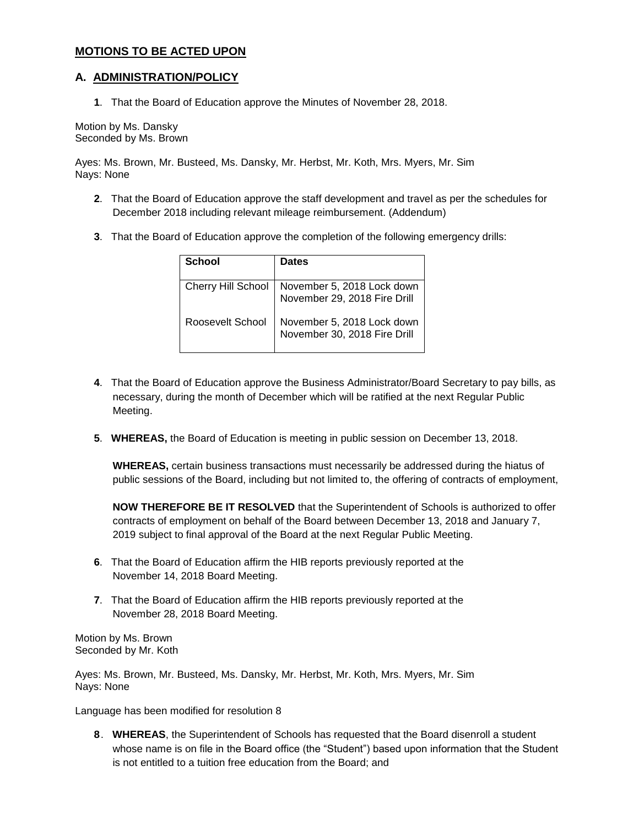# **MOTIONS TO BE ACTED UPON**

# **A. ADMINISTRATION/POLICY**

**1**. That the Board of Education approve the Minutes of November 28, 2018.

Motion by Ms. Dansky Seconded by Ms. Brown

Ayes: Ms. Brown, Mr. Busteed, Ms. Dansky, Mr. Herbst, Mr. Koth, Mrs. Myers, Mr. Sim Nays: None

- **2**. That the Board of Education approve the staff development and travel as per the schedules for December 2018 including relevant mileage reimbursement. (Addendum)
- **3**. That the Board of Education approve the completion of the following emergency drills:

| <b>School</b>      | <b>Dates</b>                                               |
|--------------------|------------------------------------------------------------|
| Cherry Hill School | November 5, 2018 Lock down<br>November 29, 2018 Fire Drill |
| Roosevelt School   | November 5, 2018 Lock down<br>November 30, 2018 Fire Drill |

- **4**. That the Board of Education approve the Business Administrator/Board Secretary to pay bills, as necessary, during the month of December which will be ratified at the next Regular Public Meeting.
- **5**. **WHEREAS,** the Board of Education is meeting in public session on December 13, 2018.

**WHEREAS,** certain business transactions must necessarily be addressed during the hiatus of public sessions of the Board, including but not limited to, the offering of contracts of employment,

**NOW THEREFORE BE IT RESOLVED** that the Superintendent of Schools is authorized to offer contracts of employment on behalf of the Board between December 13, 2018 and January 7, 2019 subject to final approval of the Board at the next Regular Public Meeting.

- **6**. That the Board of Education affirm the HIB reports previously reported at the November 14, 2018 Board Meeting.
- **7**. That the Board of Education affirm the HIB reports previously reported at the November 28, 2018 Board Meeting.

Motion by Ms. Brown Seconded by Mr. Koth

Ayes: Ms. Brown, Mr. Busteed, Ms. Dansky, Mr. Herbst, Mr. Koth, Mrs. Myers, Mr. Sim Nays: None

Language has been modified for resolution 8

**8**. **WHEREAS**, the Superintendent of Schools has requested that the Board disenroll a student whose name is on file in the Board office (the "Student") based upon information that the Student is not entitled to a tuition free education from the Board; and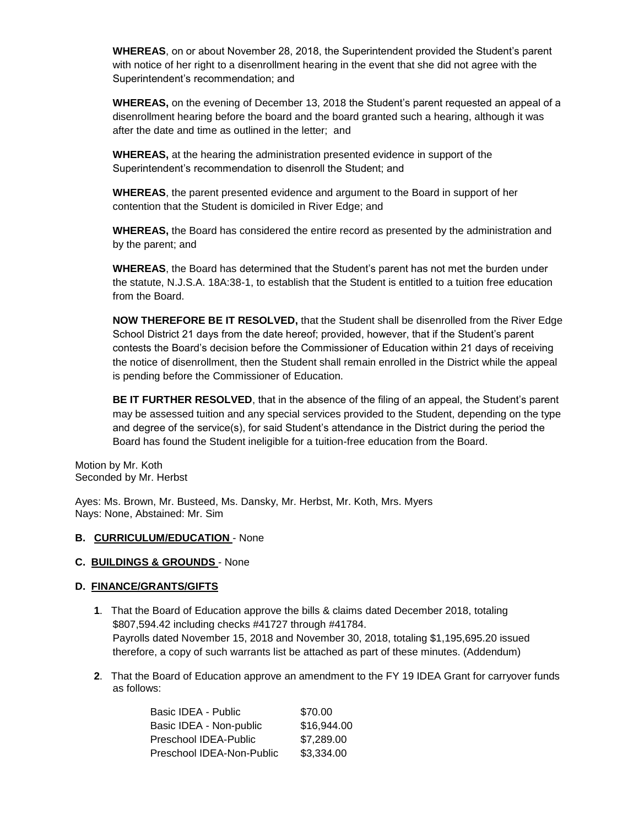**WHEREAS**, on or about November 28, 2018, the Superintendent provided the Student's parent with notice of her right to a disenrollment hearing in the event that she did not agree with the Superintendent's recommendation; and

**WHEREAS,** on the evening of December 13, 2018 the Student's parent requested an appeal of a disenrollment hearing before the board and the board granted such a hearing, although it was after the date and time as outlined in the letter; and

**WHEREAS,** at the hearing the administration presented evidence in support of the Superintendent's recommendation to disenroll the Student; and

**WHEREAS**, the parent presented evidence and argument to the Board in support of her contention that the Student is domiciled in River Edge; and

**WHEREAS,** the Board has considered the entire record as presented by the administration and by the parent; and

**WHEREAS**, the Board has determined that the Student's parent has not met the burden under the statute, N.J.S.A. 18A:38-1, to establish that the Student is entitled to a tuition free education from the Board.

**NOW THEREFORE BE IT RESOLVED,** that the Student shall be disenrolled from the River Edge School District 21 days from the date hereof; provided, however, that if the Student's parent contests the Board's decision before the Commissioner of Education within 21 days of receiving the notice of disenrollment, then the Student shall remain enrolled in the District while the appeal is pending before the Commissioner of Education.

**BE IT FURTHER RESOLVED**, that in the absence of the filing of an appeal, the Student's parent may be assessed tuition and any special services provided to the Student, depending on the type and degree of the service(s), for said Student's attendance in the District during the period the Board has found the Student ineligible for a tuition-free education from the Board.

Motion by Mr. Koth Seconded by Mr. Herbst

Ayes: Ms. Brown, Mr. Busteed, Ms. Dansky, Mr. Herbst, Mr. Koth, Mrs. Myers Nays: None, Abstained: Mr. Sim

# **B.** CURRICULUM/EDUCATION - None

### **C. BUILDINGS & GROUNDS** - None

### **D. FINANCE/GRANTS/GIFTS**

- **1**. That the Board of Education approve the bills & claims dated December 2018, totaling \$807,594.42 including checks #41727 through #41784. Payrolls dated November 15, 2018 and November 30, 2018, totaling \$1,195,695.20 issued therefore, a copy of such warrants list be attached as part of these minutes. (Addendum)
- **2**. That the Board of Education approve an amendment to the FY 19 IDEA Grant for carryover funds as follows:

| Basic IDEA - Public       | \$70.00     |
|---------------------------|-------------|
| Basic IDEA - Non-public   | \$16,944.00 |
| Preschool IDEA-Public     | \$7,289.00  |
| Preschool IDEA-Non-Public | \$3,334.00  |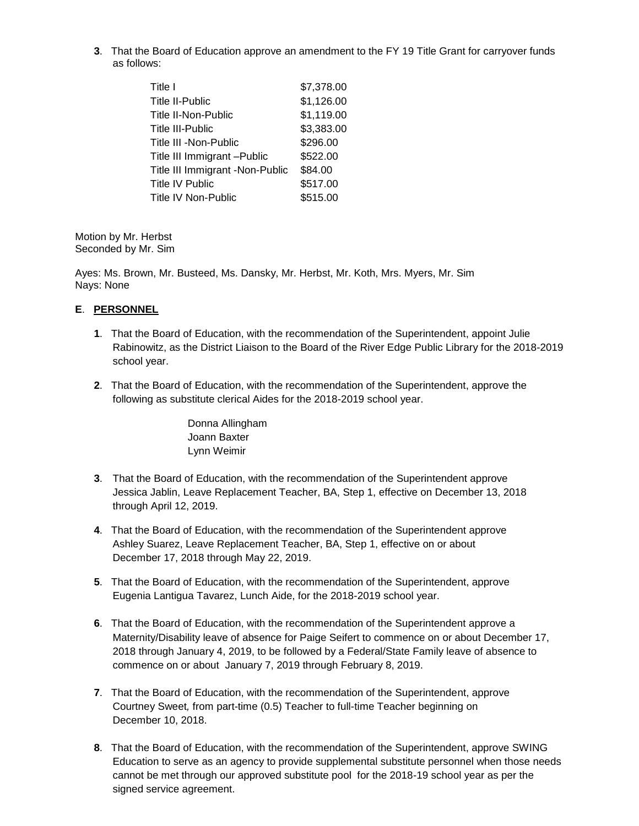**3**. That the Board of Education approve an amendment to the FY 19 Title Grant for carryover funds as follows:

| Title I                         | \$7,378.00 |
|---------------------------------|------------|
| <b>Title II-Public</b>          | \$1,126.00 |
| <b>Title II-Non-Public</b>      | \$1,119.00 |
| Title III-Public                | \$3,383.00 |
| Title III -Non-Public           | \$296.00   |
| Title III Immigrant - Public    | \$522.00   |
| Title III Immigrant -Non-Public | \$84.00    |
| <b>Title IV Public</b>          | \$517.00   |
| Title IV Non-Public             | \$515.00   |
|                                 |            |

Motion by Mr. Herbst Seconded by Mr. Sim

Ayes: Ms. Brown, Mr. Busteed, Ms. Dansky, Mr. Herbst, Mr. Koth, Mrs. Myers, Mr. Sim Nays: None

# **E**. **PERSONNEL**

- **1**. That the Board of Education, with the recommendation of the Superintendent, appoint Julie Rabinowitz, as the District Liaison to the Board of the River Edge Public Library for the 2018-2019 school year.
- **2**. That the Board of Education, with the recommendation of the Superintendent, approve the following as substitute clerical Aides for the 2018-2019 school year.

Donna Allingham Joann Baxter Lynn Weimir

- **3**. That the Board of Education, with the recommendation of the Superintendent approve Jessica Jablin, Leave Replacement Teacher, BA, Step 1, effective on December 13, 2018 through April 12, 2019.
- **4**. That the Board of Education, with the recommendation of the Superintendent approve Ashley Suarez, Leave Replacement Teacher, BA, Step 1, effective on or about December 17, 2018 through May 22, 2019.
- **5**. That the Board of Education, with the recommendation of the Superintendent, approve Eugenia Lantigua Tavarez, Lunch Aide, for the 2018-2019 school year.
- **6**. That the Board of Education, with the recommendation of the Superintendent approve a Maternity/Disability leave of absence for Paige Seifert to commence on or about December 17, 2018 through January 4, 2019, to be followed by a Federal/State Family leave of absence to commence on or about January 7, 2019 through February 8, 2019.
- **7**. That the Board of Education, with the recommendation of the Superintendent, approve Courtney Sweet*,* from part-time (0.5) Teacher to full-time Teacher beginning on December 10, 2018.
- **8**. That the Board of Education, with the recommendation of the Superintendent, approve SWING Education to serve as an agency to provide supplemental substitute personnel when those needs cannot be met through our approved substitute pool for the 2018-19 school year as per the signed service agreement.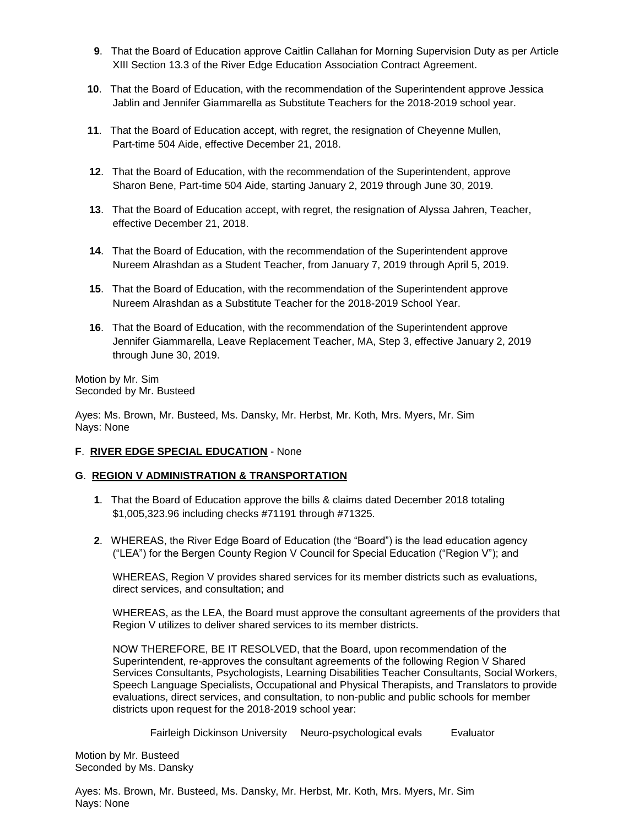- **9**. That the Board of Education approve Caitlin Callahan for Morning Supervision Duty as per Article XIII Section 13.3 of the River Edge Education Association Contract Agreement.
- **10**. That the Board of Education, with the recommendation of the Superintendent approve Jessica Jablin and Jennifer Giammarella as Substitute Teachers for the 2018-2019 school year.
- **11**. That the Board of Education accept, with regret, the resignation of Cheyenne Mullen, Part-time 504 Aide, effective December 21, 2018.
- **12**. That the Board of Education, with the recommendation of the Superintendent, approve Sharon Bene, Part-time 504 Aide, starting January 2, 2019 through June 30, 2019.
- **13**. That the Board of Education accept, with regret, the resignation of Alyssa Jahren, Teacher, effective December 21, 2018.
- **14**. That the Board of Education, with the recommendation of the Superintendent approve Nureem Alrashdan as a Student Teacher, from January 7, 2019 through April 5, 2019.
- **15**. That the Board of Education, with the recommendation of the Superintendent approve Nureem Alrashdan as a Substitute Teacher for the 2018-2019 School Year.
- **16**. That the Board of Education, with the recommendation of the Superintendent approve Jennifer Giammarella, Leave Replacement Teacher, MA, Step 3, effective January 2, 2019 through June 30, 2019.

Motion by Mr. Sim Seconded by Mr. Busteed

Ayes: Ms. Brown, Mr. Busteed, Ms. Dansky, Mr. Herbst, Mr. Koth, Mrs. Myers, Mr. Sim Nays: None

### **F**. **RIVER EDGE SPECIAL EDUCATION** - None

### **G**. **REGION V ADMINISTRATION & TRANSPORTATION**

- **1**. That the Board of Education approve the bills & claims dated December 2018 totaling \$1,005,323.96 including checks #71191 through #71325.
- **2**. WHEREAS, the River Edge Board of Education (the "Board") is the lead education agency ("LEA") for the Bergen County Region V Council for Special Education ("Region V"); and

WHEREAS, Region V provides shared services for its member districts such as evaluations, direct services, and consultation; and

WHEREAS, as the LEA, the Board must approve the consultant agreements of the providers that Region V utilizes to deliver shared services to its member districts.

NOW THEREFORE, BE IT RESOLVED, that the Board, upon recommendation of the Superintendent, re-approves the consultant agreements of the following Region V Shared Services Consultants, Psychologists, Learning Disabilities Teacher Consultants, Social Workers, Speech Language Specialists, Occupational and Physical Therapists, and Translators to provide evaluations, direct services, and consultation, to non-public and public schools for member districts upon request for the 2018-2019 school year:

Fairleigh Dickinson University Neuro-psychological evals Evaluator

Motion by Mr. Busteed Seconded by Ms. Dansky

Ayes: Ms. Brown, Mr. Busteed, Ms. Dansky, Mr. Herbst, Mr. Koth, Mrs. Myers, Mr. Sim Nays: None